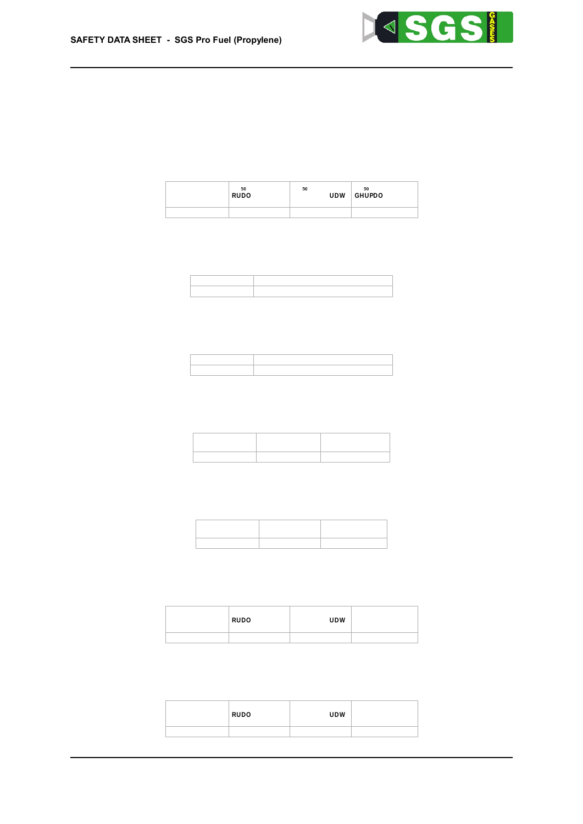| 7∖Ya]BWWaYBC59@ | B C 5 9 7 | B C 59 @<br> ficfU`ž fUfilb\U`UHJhfLXYfaU`ž fUhl |                                                  |
|-----------------|-----------|--------------------------------------------------|--------------------------------------------------|
| D f c d Y b Y   |           |                                                  | Bc XUhU UjU] UV Y Bc XUhU UjU] UV Y Bc XUhU UjU] |

Gi VghUb WYg

! FYdf c Xi Wh | j Y ' h c l | W| h m 6 UgYX cb Uj Uj \ UV \ Y \ XUh Už \ h \ Y \ W \ Ugg | Z | WUh | cb \ Wf | h Yf | U

fl c f U ` ž ` f  $\psi$  H Ł b \ U ` U t U jh d X Y f a U ` ž ` f U h Ł Bc XUhU Uj U] 'UV'Y Bc XUhU Uj U] 'UV'Y Bc XUhU Uj U] Df c d Y b Y

BC59@

Gi VghUb WYg

**BC597** 

 $7 \vee Y$ a | BNUJa Y B C 5 9 @ '

! 7 Uf W bc [ Yb ] W hm 6 UgYX cb · Uj U] · UV · Y · XUhUž · h \ Y · W Ugg ] Z ] WUh ] cb · Wf ] h Yf ] U ·

|              | $J$ $\vert$ $h$ $f$ $c$ $\vert$ $J$ $\vert$ $i$ $c$ | $7 \setminus Y$ a   WU $\setminus$   B U a Y Hc l   HW l h mW !h m+ b  $\setminus$ = b |                                                                                             |
|--------------|-----------------------------------------------------|----------------------------------------------------------------------------------------|---------------------------------------------------------------------------------------------|
| Df c d Y b Y |                                                     |                                                                                        | $Bc$ $XUhU$ $Uj$ $U$ $\vee$ $V\upharpoonright Y$ $Bc$ $XUhU$ $Uj$ $U\upharpoonright UV$ $Y$ |

 $!$  : Yf a 'WY'' ai hU[Yb] W] h m 6 UgYX cb Uj U | \ UV \ Y \ XUh Už \ h \ Y \ W \ Ugg | Z | WUh | cb \ Wf | h Yf | U \

BUaY  $G_l$  bFYgd f Uhcfm  $7 \vee Y$  a  $\vdash$  WU  $\check{ }$  $gYbg$ ]  $h$ ]  $gUbgYcbbg$ ]  $h$ ]  $gUh$ ]  $c b$ Df c d Y b Y  $Bc$  ghi  $Xm$  Uj U] `UV Y Bc ghi  $Xm$  Uj U] `UV Y

Gi VghUb WYg

Gi Vgh Ub WYg

! FYgd]fUhcfm cf g\_]b gYbg]h]gUh]cb  $6$ UgYX cb h \ Y Uj U | \ UV \ Y \ XUh Uz \ h \ Y \ W Ugg | Z | WUh | cb \ Wf | h \ N

 $7 \setminus Y$ a] WU` BUaY = f f ] hUh] c b # Wc f f c g ] c b  $Bc$   $\cup$   $Xj$   $Yf$   $gY$   $\cup$   $YZZYWh$   $\cdot$   $c \vee g Yf$   $j \vee X \cdot f1 b c h$   $\cdot$   $j \uparrow f$   $j \upharpoonright b \cup h$   $j \upharpoonright b$   $\in$   $L$  $Df c dYbY$ 

Gi VghUb WYg

!  $GYf | c i g Y mY' XUa U | Y# | f f | hUh | c b$ 6 UgYX cb UjU| `UV `Y `XUhUž `h \Y `W Ugg | Z | WUh | cb `Wf | h Yf | U `

 $7 \setminus Y$  a ] WU  $\cdot$  BU a Y = f f ] hU h ] c b # Wc f f c g ] c b Df c d Y b Y Bc UXj Yf g Y YZZYWh cVg Yf j YX flbch ] f f ] h Uh ] b [ Ł

# Gi VghUb WYg

 $[G_{-}]$  b Wcffcg]cb#]ff]hUh]cb 6UgYX cb UjU] `UV `Y `XUhUž `h \Y `W Ugg] Z] WUh] cb `Wf ] h Yf ] U `

 $7 \vee Y$ a | BNWa Y @ 80 @  $7_{6}$ @ 8. ficf U`  $\check{z}$  'f  $\psi$  if  $\underline{L}$  b \ U ''  $\underline{U}$  in  $\underline{L}$  if  $\underline{L}$  if  $\underline{L}$  if  $\underline{L}$  if  $\underline{L}$  if  $\underline{L}$  if  $\underline{L}$  if  $\underline{L}$  if  $\underline{L}$  if  $\underline{L}$  if  $\underline{L}$  if  $\underline{L}$  if  $\underline{L}$  if  $\underline{L}$ Bc XUhU Uj Uj UV Y Bc XUhU Uj Uj UV Y Bc XUhU Uj Uj Df c d Y b Y

Gi VghUb WYg

- $: 5$  Wi  $hY$  Hc  $\mid W \mid h$  m 6 UgYX cb UjU] `UV `Y `XUhUž `h \Y `W Ugg ] Z ] WUh ] cb `Wf ] h Yf ] U `
- %%"% = b Z c f a U h ] c b · c b · \ U n U f X · W Ugg Y g · Ug · X Y Z ] b Y X · ] b · F Y [ i · U h ]

 $G97H=C$  Hcl | Wc c | | WU j | b Z c f a U h | c b

Revision: 16 August 2021



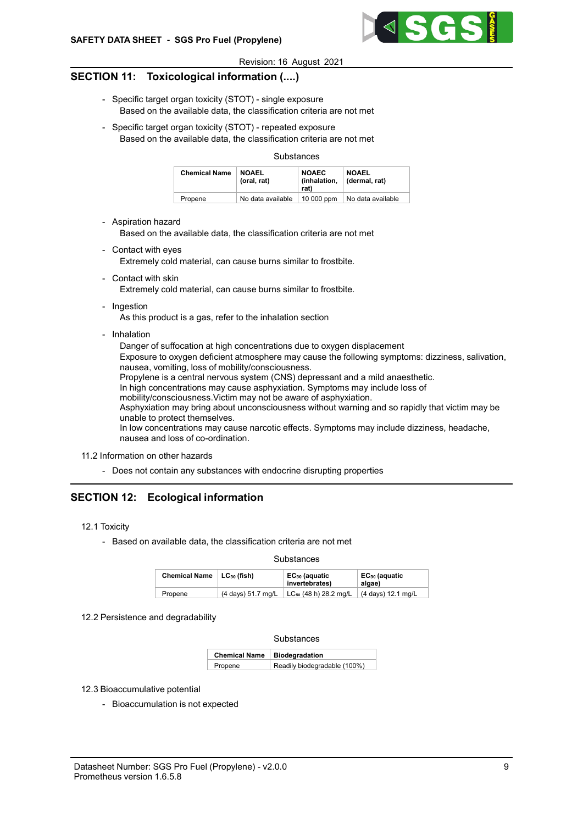

### SECTION 11: Toxicological information (....)

- Specific target organ toxicity (STOT) single exposure Based on the available data, the classification criteria are not met
- Specific target organ toxicity (STOT) repeated exposure Based on the available data, the classification criteria are not met

#### Substances

| <b>Chemical Name</b> | <b>NOAEL</b><br>(oral, rat) | <b>NOAEC</b><br>(inhalation.<br>rat) | <b>NOAEL</b><br>(dermal. rat) |
|----------------------|-----------------------------|--------------------------------------|-------------------------------|
| Propene              | No data available           | 10 000 ppm                           | No data available             |

- Aspiration hazard

Based on the available data, the classification criteria are not met

- Contact with eyes Extremely cold material, can cause burns similar to frostbite.
- Contact with skin Extremely cold material, can cause burns similar to frostbite.
- Ingestion

As this product is a gas, refer to the inhalation section

- Inhalation

Danger of suffocation at high concentrations due to oxygen displacement Exposure to oxygen deficient atmosphere may cause the following symptoms: dizziness, salivation, nausea, vomiting, loss of mobility/consciousness. Propylene is a central nervous system (CNS) depressant and a mild anaesthetic. In high concentrations may cause asphyxiation. Symptoms may include loss of mobility/consciousness.Victim may not be aware of asphyxiation. Asphyxiation may bring about unconsciousness without warning and so rapidly that victim may be unable to protect themselves. In low concentrations may cause narcotic effects. Symptoms may include dizziness, headache, nausea and loss of co-ordination.

11.2 Information on other hazards

- Does not contain any substances with endocrine disrupting properties

# SECTION 12: Ecological information

- 12.1 Toxicity
	- Based on available data, the classification criteria are not met

**Substances** 

| Chemical Name $ $ LC <sub>50</sub> (fish) |                    | EC <sub>50</sub> (aquatic<br>invertebrates) | EC <sub>50</sub> (aquatic<br>algae) |
|-------------------------------------------|--------------------|---------------------------------------------|-------------------------------------|
| Propene                                   | (4 days) 51.7 mg/L | LC <sub>50</sub> (48 h) 28.2 mg/L           | $(4 \text{ days})$ 12.1 mg/L        |

12.2 Persistence and degradability

**Substances** 

| Chemical Name   Biodegradation |                              |
|--------------------------------|------------------------------|
| Propene                        | Readily biodegradable (100%) |

#### 12.3 Bioaccumulative potential

- Bioaccumulation is not expected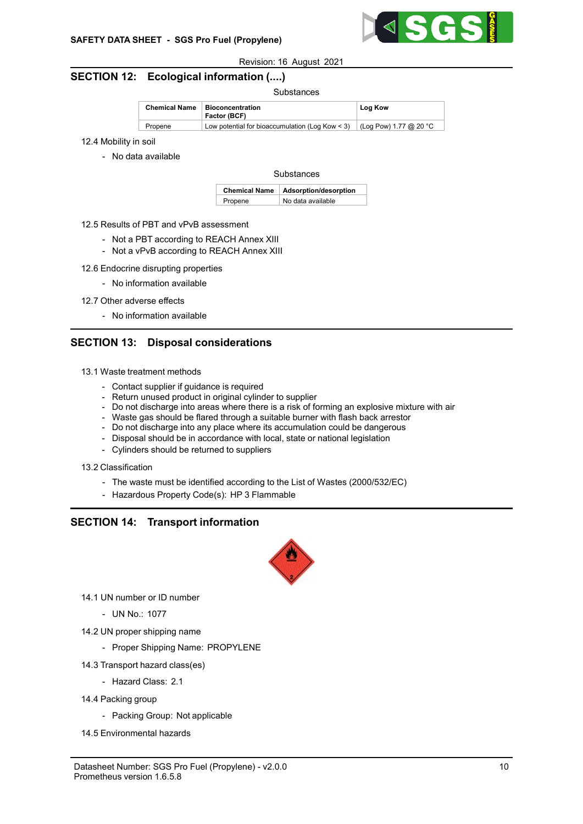

# SECTION 12: Ecological information (....)

#### Substances

| <b>Chemical Name</b> | <b>Bioconcentration</b><br>Factor (BCF)                                        | Log Kow |
|----------------------|--------------------------------------------------------------------------------|---------|
| Propene              | Low potential for bioaccumulation (Log Kow < 3) $\vert$ (Log Pow) 1.77 @ 20 °C |         |

- 12.4 Mobility in soil
	- No data available

#### **Substances**

|         | Chemical Name   Adsorption/desorption |  |
|---------|---------------------------------------|--|
| Propene | No data available                     |  |

- 12.5 Results of PBT and vPvB assessment
	- Not a PBT according to REACH Annex XIII
	- Not a vPvB according to REACH Annex XIII
- 12.6 Endocrine disrupting properties
	- No information available
- 12.7 Other adverse effects
	- No information available

# SECTION 13: Disposal considerations

- 13.1 Waste treatment methods
	- Contact supplier if guidance is required
	- Return unused product in original cylinder to supplier
	- Do not discharge into areas where there is a risk of forming an explosive mixture with air
	- Waste gas should be flared through a suitable burner with flash back arrestor
	- Do not discharge into any place where its accumulation could be dangerous
	- Disposal should be in accordance with local, state or national legislation
	- Cylinders should be returned to suppliers
- 13.2 Classification
	- The waste must be identified according to the List of Wastes (2000/532/EC)
	- Hazardous Property Code(s): HP 3 Flammable

### SECTION 14: Transport information



- 14.1 UN number or ID number
	- UN No.: 1077
- 14.2 UN proper shipping name
	- Proper Shipping Name: PROPYLENE
- 14.3 Transport hazard class(es)
	- Hazard Class: 2.1
- 14.4 Packing group
	- Packing Group: Not applicable
- 14.5 Environmental hazards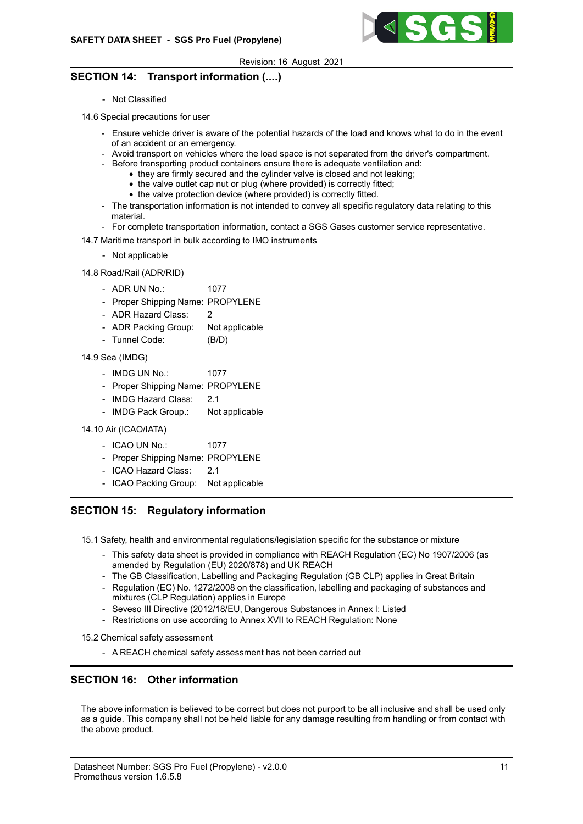

# SECTION 14: Transport information (....)

- Not Classified

14.6 Special precautions for user

- Ensure vehicle driver is aware of the potential hazards of the load and knows what to do in the event of an accident or an emergency.
- Avoid transport on vehicles where the load space is not separated from the driver's compartment.
- Before transporting product containers ensure there is adequate ventilation and:
	- they are firmly secured and the cylinder valve is closed and not leaking;
	- the valve outlet cap nut or plug (where provided) is correctly fitted;
	- the valve protection device (where provided) is correctly fitted.
- The transportation information is not intended to convey all specific regulatory data relating to this material.
- For complete transportation information, contact a SGS Gases customer service representative.
- 14.7 Maritime transport in bulk according to IMO instruments
	- Not applicable
- 14.8 Road/Rail (ADR/RID)
	- ADR UN No.: 1077
	- Proper Shipping Name: PROPYLENE
	- ADR Hazard Class: 2
	- ADR Packing Group: Not applicable
	- Tunnel Code: (B/D)
- 14.9 Sea (IMDG)
	- IMDG UN No.: 1077
	- Proper Shipping Name: PROPYLENE
	- IMDG Hazard Class: 2.1
	- IMDG Pack Group.: Not applicable
- 14.10 Air (ICAO/IATA)
	- ICAO UN No.: 1077
	- Proper Shipping Name: PROPYLENE
	- ICAO Hazard Class: 2.1
	- ICAO Packing Group: Not applicable

# SECTION 15: Regulatory information

- 15.1 Safety, health and environmental regulations/legislation specific for the substance or mixture
	- This safety data sheet is provided in compliance with REACH Regulation (EC) No 1907/2006 (as amended by Regulation (EU) 2020/878) and UK REACH
	- The GB Classification, Labelling and Packaging Regulation (GB CLP) applies in Great Britain
	- Regulation (EC) No. 1272/2008 on the classification, labelling and packaging of substances and mixtures (CLP Regulation) applies in Europe
	- Seveso III Directive (2012/18/EU, Dangerous Substances in Annex I: Listed
	- Restrictions on use according to Annex XVII to REACH Regulation: None
- 15.2 Chemical safety assessment
	- A REACH chemical safety assessment has not been carried out

# SECTION 16: Other information

The above information is believed to be correct but does not purport to be all inclusive and shall be used only as a guide. This company shall not be held liable for any damage resulting from handling or from contact with the above product.